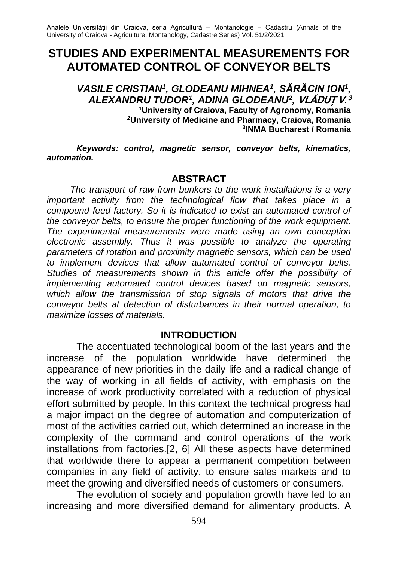# **STUDIES AND EXPERIMENTAL MEASUREMENTS FOR AUTOMATED CONTROL OF CONVEYOR BELTS**

*VASILE CRISTIAN<sup>1</sup> , GLODEANU MIHNEA<sup>1</sup> , SĂRĂCIN ION<sup>1</sup> , ALEXANDRU TUDOR<sup>1</sup> , ADINA GLODEANU<sup>2</sup> ,* **VLĂDUȚ V. 3 <sup>1</sup>University of Craiova, Faculty of Agronomy, Romania** *<sup>2</sup>***University of Medicine and Pharmacy, Craiova, Romania 3 INMA Bucharest / Romania**

*Keywords: control, magnetic sensor, conveyor belts, kinematics, automation.*

#### **ABSTRACT**

*The transport of raw from bunkers to the work installations is a very important activity from the technological flow that takes place in a compound feed factory. So it is indicated to exist an automated control of the conveyor belts, to ensure the proper functioning of the work equipment. The experimental measurements were made using an own conception electronic assembly. Thus it was possible to analyze the operating parameters of rotation and proximity magnetic sensors, which can be used to implement devices that allow automated control of conveyor belts. Studies of measurements shown in this article offer the possibility of implementing automated control devices based on magnetic sensors, which allow the transmission of stop signals of motors that drive the conveyor belts at detection of disturbances in their normal operation, to maximize losses of materials.*

#### **INTRODUCTION**

The accentuated technological boom of the last years and the increase of the population worldwide have determined the appearance of new priorities in the daily life and a radical change of the way of working in all fields of activity, with emphasis on the increase of work productivity correlated with a reduction of physical effort submitted by people. In this context the technical progress had a major impact on the degree of automation and computerization of most of the activities carried out, which determined an increase in the complexity of the command and control operations of the work installations from factories.[2, 6] All these aspects have determined that worldwide there to appear a permanent competition between companies in any field of activity, to ensure sales markets and to meet the growing and diversified needs of customers or consumers.

The evolution of society and population growth have led to an increasing and more diversified demand for alimentary products. A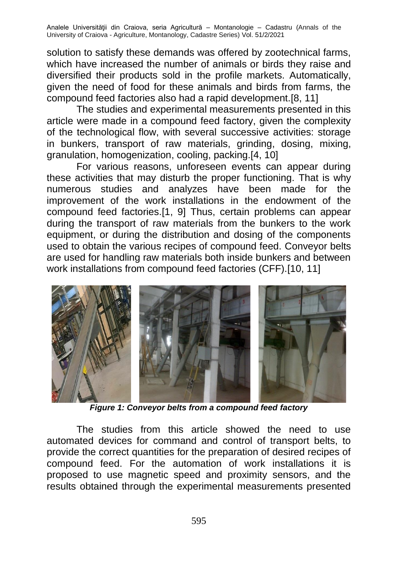solution to satisfy these demands was offered by zootechnical farms, which have increased the number of animals or birds they raise and diversified their products sold in the profile markets. Automatically, given the need of food for these animals and birds from farms, the compound feed factories also had a rapid development.[8, 11]

The studies and experimental measurements presented in this article were made in a compound feed factory, given the complexity of the technological flow, with several successive activities: storage in bunkers, transport of raw materials, grinding, dosing, mixing, granulation, homogenization, cooling, packing.[4, 10]

For various reasons, unforeseen events can appear during these activities that may disturb the proper functioning. That is why numerous studies and analyzes have been made for the improvement of the work installations in the endowment of the compound feed factories.[1, 9] Thus, certain problems can appear during the transport of raw materials from the bunkers to the work equipment, or during the distribution and dosing of the components used to obtain the various recipes of compound feed. Conveyor belts are used for handling raw materials both inside bunkers and between work installations from compound feed factories (CFF).[10, 11]



*Figure 1: Conveyor belts from a compound feed factory*

The studies from this article showed the need to use automated devices for command and control of transport belts, to provide the correct quantities for the preparation of desired recipes of compound feed. For the automation of work installations it is proposed to use magnetic speed and proximity sensors, and the results obtained through the experimental measurements presented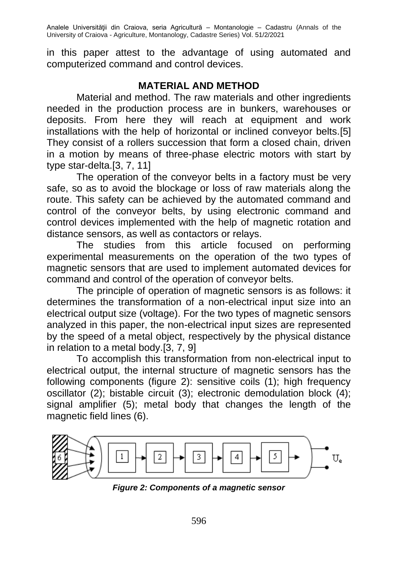in this paper attest to the advantage of using automated and computerized command and control devices.

# **MATERIAL AND METHOD**

Material and method. The raw materials and other ingredients needed in the production process are in bunkers, warehouses or deposits. From here they will reach at equipment and work installations with the help of horizontal or inclined conveyor belts.[5] They consist of a rollers succession that form a closed chain, driven in a motion by means of three-phase electric motors with start by type star-delta.[3, 7, 11]

The operation of the conveyor belts in a factory must be very safe, so as to avoid the blockage or loss of raw materials along the route. This safety can be achieved by the automated command and control of the conveyor belts, by using electronic command and control devices implemented with the help of magnetic rotation and distance sensors, as well as contactors or relays.

The studies from this article focused on performing experimental measurements on the operation of the two types of magnetic sensors that are used to implement automated devices for command and control of the operation of conveyor belts.

The principle of operation of magnetic sensors is as follows: it determines the transformation of a non-electrical input size into an electrical output size (voltage). For the two types of magnetic sensors analyzed in this paper, the non-electrical input sizes are represented by the speed of a metal object, respectively by the physical distance in relation to a metal body.[3, 7, 9]

To accomplish this transformation from non-electrical input to electrical output, the internal structure of magnetic sensors has the following components (figure 2): sensitive coils (1); high frequency oscillator (2); bistable circuit (3); electronic demodulation block (4); signal amplifier (5); metal body that changes the length of the magnetic field lines (6).



*Figure 2: Components of a magnetic sensor*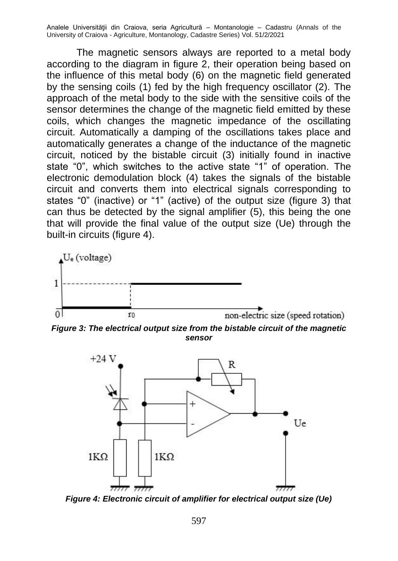The magnetic sensors always are reported to a metal body according to the diagram in figure 2, their operation being based on the influence of this metal body (6) on the magnetic field generated by the sensing coils (1) fed by the high frequency oscillator (2). The approach of the metal body to the side with the sensitive coils of the sensor determines the change of the magnetic field emitted by these coils, which changes the magnetic impedance of the oscillating circuit. Automatically a damping of the oscillations takes place and automatically generates a change of the inductance of the magnetic circuit, noticed by the bistable circuit (3) initially found in inactive state "0", which switches to the active state "1" of operation. The electronic demodulation block (4) takes the signals of the bistable circuit and converts them into electrical signals corresponding to states "0" (inactive) or "1" (active) of the output size (figure 3) that can thus be detected by the signal amplifier (5), this being the one that will provide the final value of the output size (Ue) through the built-in circuits (figure 4).



*Figure 3: The electrical output size from the bistable circuit of the magnetic sensor*



*Figure 4: Electronic circuit of amplifier for electrical output size (Ue)*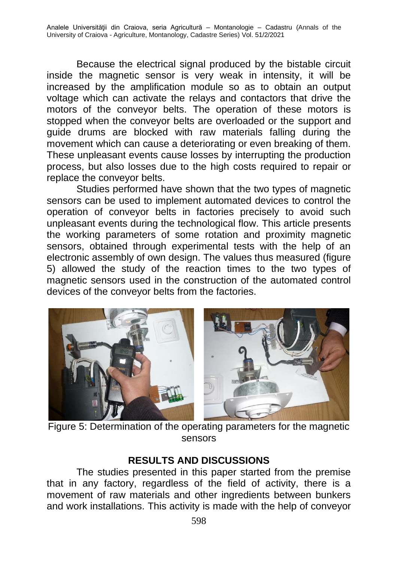Because the electrical signal produced by the bistable circuit inside the magnetic sensor is very weak in intensity, it will be increased by the amplification module so as to obtain an output voltage which can activate the relays and contactors that drive the motors of the conveyor belts. The operation of these motors is stopped when the conveyor belts are overloaded or the support and guide drums are blocked with raw materials falling during the movement which can cause a deteriorating or even breaking of them. These unpleasant events cause losses by interrupting the production process, but also losses due to the high costs required to repair or replace the conveyor belts.

Studies performed have shown that the two types of magnetic sensors can be used to implement automated devices to control the operation of conveyor belts in factories precisely to avoid such unpleasant events during the technological flow. This article presents the working parameters of some rotation and proximity magnetic sensors, obtained through experimental tests with the help of an electronic assembly of own design. The values thus measured (figure 5) allowed the study of the reaction times to the two types of magnetic sensors used in the construction of the automated control devices of the conveyor belts from the factories.



Figure 5: Determination of the operating parameters for the magnetic sensors

## **RESULTS AND DISCUSSIONS**

The studies presented in this paper started from the premise that in any factory, regardless of the field of activity, there is a movement of raw materials and other ingredients between bunkers and work installations. This activity is made with the help of conveyor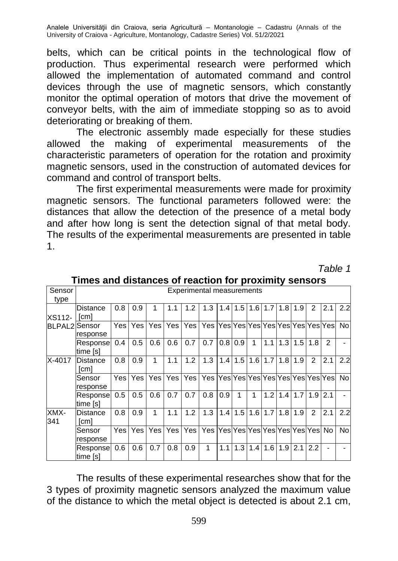belts, which can be critical points in the technological flow of production. Thus experimental research were performed which allowed the implementation of automated command and control devices through the use of magnetic sensors, which constantly monitor the optimal operation of motors that drive the movement of conveyor belts, with the aim of immediate stopping so as to avoid deteriorating or breaking of them.

The electronic assembly made especially for these studies allowed the making of experimental measurements of the characteristic parameters of operation for the rotation and proximity magnetic sensors, used in the construction of automated devices for command and control of transport belts.

The first experimental measurements were made for proximity magnetic sensors. The functional parameters followed were: the distances that allow the detection of the presence of a metal body and after how long is sent the detection signal of that metal body. The results of the experimental measurements are presented in table 1.

*Table 1*

| Sensor<br>type                 | <b>Experimental measurements</b> |      |     |            |       |      |                                      |     |                   |                  |     |               |               |                |     |     |
|--------------------------------|----------------------------------|------|-----|------------|-------|------|--------------------------------------|-----|-------------------|------------------|-----|---------------|---------------|----------------|-----|-----|
| XS112-<br><b>BLPAL2</b> Sensor | <b>Distance</b><br>[cm]          | 0.8  | 0.9 | 1          | 1.1   | 1.2  | 1.3                                  |     | $1.4$ 1.5 1.6     |                  | 1.7 |               | $1.8$   $1.9$ | $\mathfrak{p}$ | 2.1 | 2.2 |
|                                | response                         | Yes. | Yes | Yes        | Yes l | Yesl | Yes  Yes Yes Yes Yes Yes Yes Yes Yes |     |                   |                  |     |               |               |                |     | No. |
|                                | Response<br>time [s]             | 0.4  | 0.5 | 0.6        | 0.6   | 0.7  | 0.7                                  | 0.8 | 0.9               | 1                | 1.1 | 1.3           | 1.5           | 1.8            | 2   |     |
| X-4017                         | Distance<br>[cm]                 | 0.8  | 0.9 | 1          | 1.1   | 1.2  | 1.3                                  |     | $1.4$   1.5   1.6 |                  | 1.7 | 1.8           | 1.9           | $\mathfrak{p}$ | 2.1 | 2.2 |
|                                | Sensor<br>response               | Yes. | Yes | Yes        | Yesl  | Yes  | Yes  Yes Yes Yes Yes Yes Yes Yes Yes |     |                   |                  |     |               |               |                |     | No. |
|                                | Response<br>time [s]             | 0.5  | 0.5 | 0.6        | 0.7   | 0.7  | 0.8                                  | 0.9 | 1                 | 1                | 1.2 | 1.4           | 1.7           | 1.9            | 2.1 |     |
| XMX-<br>341                    | Distance<br>[cm]                 | 0.8  | 0.9 | 1          | 1.1   | 1.2  | 1.3                                  | 1.4 |                   | $1.5$   $1.6$    |     | $1.7$   $1.8$ | 1.9           | 2              | 2.1 | 2.2 |
|                                | Sensor<br>response               | Yes  | Yes | <b>Yes</b> | Yes   | Yesl | Yes  Yes Yes Yes Yes Yes Yes Yes     |     |                   |                  |     |               |               |                | No. | No. |
|                                | Response <br>time [s]            | 0.6  | 0.6 | 0.7        | 0.8   | 0.9  | 1                                    | 1.1 | 1.3               | 1.4 <sub>l</sub> | 1.6 | 1.9           | 2.1           | 2.2            |     |     |

#### **Times and distances of reaction for proximity sensors**

The results of these experimental researches show that for the 3 types of proximity magnetic sensors analyzed the maximum value of the distance to which the metal object is detected is about 2.1 cm,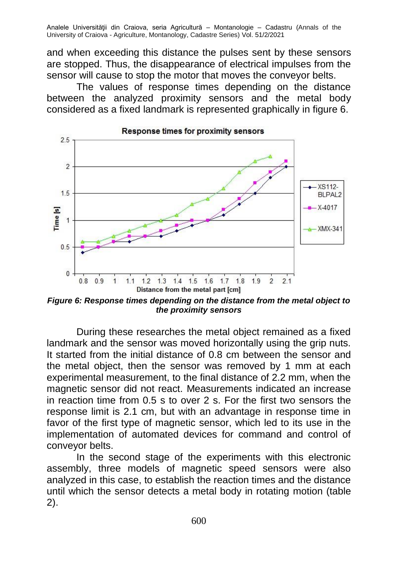and when exceeding this distance the pulses sent by these sensors are stopped. Thus, the disappearance of electrical impulses from the sensor will cause to stop the motor that moves the conveyor belts.

The values of response times depending on the distance between the analyzed proximity sensors and the metal body considered as a fixed landmark is represented graphically in figure 6.



*Figure 6: Response times depending on the distance from the metal object to the proximity sensors*

During these researches the metal object remained as a fixed landmark and the sensor was moved horizontally using the grip nuts. It started from the initial distance of 0.8 cm between the sensor and the metal object, then the sensor was removed by 1 mm at each experimental measurement, to the final distance of 2.2 mm, when the magnetic sensor did not react. Measurements indicated an increase in reaction time from 0.5 s to over 2 s. For the first two sensors the response limit is 2.1 cm, but with an advantage in response time in favor of the first type of magnetic sensor, which led to its use in the implementation of automated devices for command and control of conveyor belts.

In the second stage of the experiments with this electronic assembly, three models of magnetic speed sensors were also analyzed in this case, to establish the reaction times and the distance until which the sensor detects a metal body in rotating motion (table 2).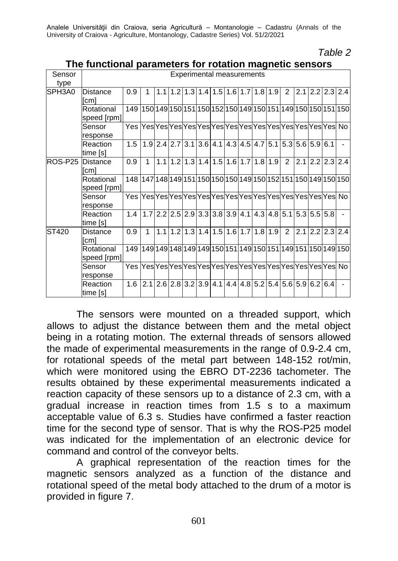#### *Table 2*

| Sensor<br>type | Experimental measurements |                                                                 |                                                                                          |  |  |  |  |  |                                                                                                                    |  |  |  |  |  |                                                                                     |                         |
|----------------|---------------------------|-----------------------------------------------------------------|------------------------------------------------------------------------------------------|--|--|--|--|--|--------------------------------------------------------------------------------------------------------------------|--|--|--|--|--|-------------------------------------------------------------------------------------|-------------------------|
| SPH3A0         | Distance                  | 0.9                                                             | 1                                                                                        |  |  |  |  |  | 1.1.1.2.1.3.1.4.1.5.1.6.1.7.1.8.1.9.2                                                                              |  |  |  |  |  |                                                                                     | 2.1 2.2 2.3 2.4         |
|                | [cm]                      |                                                                 |                                                                                          |  |  |  |  |  |                                                                                                                    |  |  |  |  |  |                                                                                     |                         |
|                | Rotational<br>speed [rpm] | 149 150 149 150 151 150 152 150 149 150 151 149 150 150 151 150 |                                                                                          |  |  |  |  |  |                                                                                                                    |  |  |  |  |  |                                                                                     |                         |
|                | Sensor<br>response        |                                                                 |                                                                                          |  |  |  |  |  |                                                                                                                    |  |  |  |  |  |                                                                                     |                         |
|                | Reaction<br>time [s]      | 1.5                                                             |                                                                                          |  |  |  |  |  |                                                                                                                    |  |  |  |  |  | $1.9$   2.4   2.7   3.1   3.6   4.1   4.3   4.5   4.7   5.1   5.3   5.6   5.9   6.1 |                         |
| ROS-P25        | <b>Distance</b><br>[cm]   | 0.9                                                             | $\mathbf{1}$                                                                             |  |  |  |  |  | $1.1$  1.2 1.3 1.4 1.5 1.6 1.7 1.8 1.9 2                                                                           |  |  |  |  |  |                                                                                     | 2.1 2.2 2.3 2.4         |
|                | Rotational<br>speed [rpm] | 148 147 148 149 151 150 150 150 149 150 152 151 150 149 150 150 |                                                                                          |  |  |  |  |  |                                                                                                                    |  |  |  |  |  |                                                                                     |                         |
|                | Sensor<br>response        |                                                                 |                                                                                          |  |  |  |  |  |                                                                                                                    |  |  |  |  |  |                                                                                     |                         |
|                | Reaction<br>time [s]      |                                                                 | $1.4$  1.7   2.2   2.5   2.9   3.3   3.8   3.9   4.1   4.3   4.8   5.1   5.3   5.5   5.8 |  |  |  |  |  |                                                                                                                    |  |  |  |  |  |                                                                                     |                         |
| ST420          | Distance<br>[cm]          | 0.9                                                             | $\mathbf{1}$                                                                             |  |  |  |  |  | $\left  1.1 \right  1.2 \left  1.3 \right  1.4 \left  1.5 \right  1.6 \left  1.7 \right  1.8 \left  1.9 \right  2$ |  |  |  |  |  |                                                                                     | $2.1$   2.2   2.3   2.4 |
|                | Rotational<br>speed [rpm] | 149 149 149 148 149 149 150 151 149 150 151 149 151 150 169 150 |                                                                                          |  |  |  |  |  |                                                                                                                    |  |  |  |  |  |                                                                                     |                         |
|                | Sensor<br>response        |                                                                 |                                                                                          |  |  |  |  |  |                                                                                                                    |  |  |  |  |  |                                                                                     |                         |
|                | Reaction<br>time [s]      | 1.6                                                             |                                                                                          |  |  |  |  |  |                                                                                                                    |  |  |  |  |  | 2.1 2.6 2.8 3.2 3.9 4.1 4.4 4.8 5.2 5.4 5.6 5.9 6.2 6.4                             |                         |

### **The functional parameters for rotation magnetic sensors**

The sensors were mounted on a threaded support, which allows to adjust the distance between them and the metal object being in a rotating motion. The external threads of sensors allowed the made of experimental measurements in the range of 0.9-2.4 cm, for rotational speeds of the metal part between 148-152 rot/min, which were monitored using the EBRO DT-2236 tachometer. The results obtained by these experimental measurements indicated a reaction capacity of these sensors up to a distance of 2.3 cm, with a gradual increase in reaction times from 1.5 s to a maximum acceptable value of 6.3 s. Studies have confirmed a faster reaction time for the second type of sensor. That is why the ROS-P25 model was indicated for the implementation of an electronic device for command and control of the conveyor belts.

A graphical representation of the reaction times for the magnetic sensors analyzed as a function of the distance and rotational speed of the metal body attached to the drum of a motor is provided in figure 7.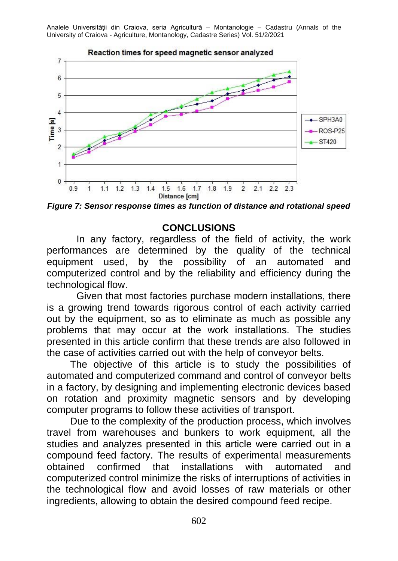

*Figure 7: Sensor response times as function of distance and rotational speed*

## **CONCLUSIONS**

In any factory, regardless of the field of activity, the work performances are determined by the quality of the technical equipment used, by the possibility of an automated and computerized control and by the reliability and efficiency during the technological flow.

Given that most factories purchase modern installations, there is a growing trend towards rigorous control of each activity carried out by the equipment, so as to eliminate as much as possible any problems that may occur at the work installations. The studies presented in this article confirm that these trends are also followed in the case of activities carried out with the help of conveyor belts.

The objective of this article is to study the possibilities of automated and computerized command and control of conveyor belts in a factory, by designing and implementing electronic devices based on rotation and proximity magnetic sensors and by developing computer programs to follow these activities of transport.

Due to the complexity of the production process, which involves travel from warehouses and bunkers to work equipment, all the studies and analyzes presented in this article were carried out in a compound feed factory. The results of experimental measurements obtained confirmed that installations with automated and computerized control minimize the risks of interruptions of activities in the technological flow and avoid losses of raw materials or other ingredients, allowing to obtain the desired compound feed recipe.